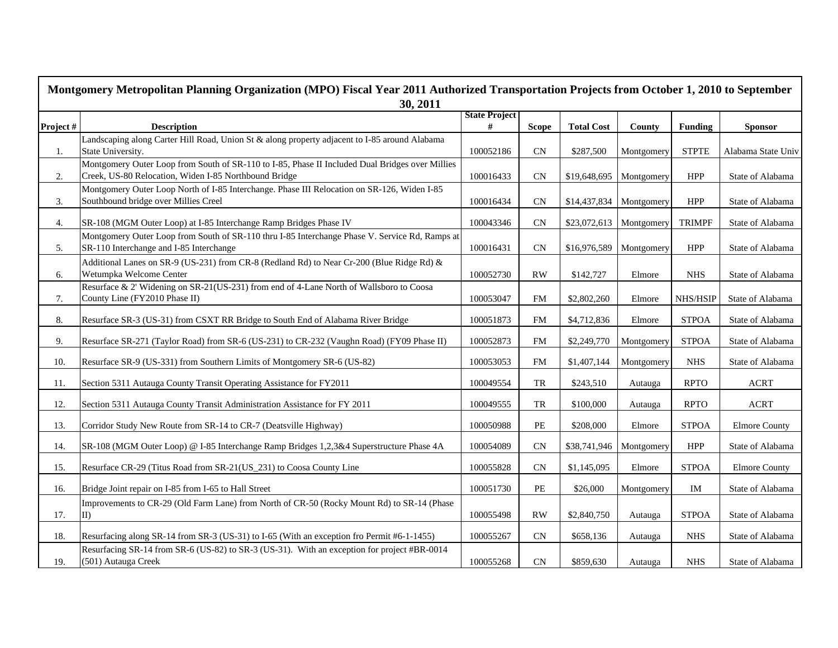| Montgomery Metropolitan Planning Organization (MPO) Fiscal Year 2011 Authorized Transportation Projects from October 1, 2010 to September |                                                                                                                                                          |           |              |                   |            |                |                      |
|-------------------------------------------------------------------------------------------------------------------------------------------|----------------------------------------------------------------------------------------------------------------------------------------------------------|-----------|--------------|-------------------|------------|----------------|----------------------|
| 30, 2011<br><b>State Project</b>                                                                                                          |                                                                                                                                                          |           |              |                   |            |                |                      |
| Project#                                                                                                                                  | <b>Description</b>                                                                                                                                       | #         | <b>Scope</b> | <b>Total Cost</b> | County     | <b>Funding</b> | <b>Sponsor</b>       |
|                                                                                                                                           | Landscaping along Carter Hill Road, Union St & along property adjacent to I-85 around Alabama                                                            |           |              |                   |            |                |                      |
| 1.                                                                                                                                        | State University.                                                                                                                                        | 100052186 | CN           | \$287,500         | Montgomery | <b>STPTE</b>   | Alabama State Univ   |
| 2.                                                                                                                                        | Montgomery Outer Loop from South of SR-110 to I-85, Phase II Included Dual Bridges over Millies<br>Creek, US-80 Relocation, Widen I-85 Northbound Bridge | 100016433 | CN           | \$19,648,695      | Montgomery | <b>HPP</b>     | State of Alabama     |
| 3.                                                                                                                                        | Montgomery Outer Loop North of I-85 Interchange. Phase III Relocation on SR-126, Widen I-85<br>Southbound bridge over Millies Creel                      | 100016434 | CN           | \$14,437,834      | Montgomery | <b>HPP</b>     | State of Alabama     |
| 4.                                                                                                                                        | SR-108 (MGM Outer Loop) at I-85 Interchange Ramp Bridges Phase IV                                                                                        | 100043346 | CN           | \$23,072,613      | Montgomery | <b>TRIMPF</b>  | State of Alabama     |
| 5.                                                                                                                                        | Montgomery Outer Loop from South of SR-110 thru I-85 Interchange Phase V. Service Rd, Ramps at<br>SR-110 Interchange and I-85 Interchange                | 100016431 | CN           | \$16,976,589      | Montgomery | <b>HPP</b>     | State of Alabama     |
| 6.                                                                                                                                        | Additional Lanes on SR-9 (US-231) from CR-8 (Redland Rd) to Near Cr-200 (Blue Ridge Rd) &<br>Wetumpka Welcome Center                                     | 100052730 | RW           | \$142,727         | Elmore     | <b>NHS</b>     | State of Alabama     |
| 7.                                                                                                                                        | Resurface & 2' Widening on SR-21(US-231) from end of 4-Lane North of Wallsboro to Coosa<br>County Line (FY2010 Phase II)                                 | 100053047 | FM           | \$2,802,260       | Elmore     | NHS/HSIP       | State of Alabama     |
| 8.                                                                                                                                        | Resurface SR-3 (US-31) from CSXT RR Bridge to South End of Alabama River Bridge                                                                          | 100051873 | <b>FM</b>    | \$4,712,836       | Elmore     | <b>STPOA</b>   | State of Alabama     |
| 9.                                                                                                                                        | Resurface SR-271 (Taylor Road) from SR-6 (US-231) to CR-232 (Vaughn Road) (FY09 Phase II)                                                                | 100052873 | <b>FM</b>    | \$2,249,770       | Montgomery | <b>STPOA</b>   | State of Alabama     |
| 10.                                                                                                                                       | Resurface SR-9 (US-331) from Southern Limits of Montgomery SR-6 (US-82)                                                                                  | 100053053 | <b>FM</b>    | \$1,407,144       | Montgomery | <b>NHS</b>     | State of Alabama     |
| 11.                                                                                                                                       | Section 5311 Autauga County Transit Operating Assistance for FY2011                                                                                      | 100049554 | TR           | \$243,510         | Autauga    | <b>RPTO</b>    | <b>ACRT</b>          |
| 12.                                                                                                                                       | Section 5311 Autauga County Transit Administration Assistance for FY 2011                                                                                | 100049555 | TR           | \$100,000         | Autauga    | <b>RPTO</b>    | <b>ACRT</b>          |
| 13.                                                                                                                                       | Corridor Study New Route from SR-14 to CR-7 (Deatsville Highway)                                                                                         | 100050988 | $\rm PE$     | \$208,000         | Elmore     | <b>STPOA</b>   | <b>Elmore County</b> |
| 14.                                                                                                                                       | SR-108 (MGM Outer Loop) @ I-85 Interchange Ramp Bridges 1,2,3&4 Superstructure Phase 4A                                                                  | 100054089 | <b>CN</b>    | \$38,741,946      | Montgomery | <b>HPP</b>     | State of Alabama     |
| 15.                                                                                                                                       | Resurface CR-29 (Titus Road from SR-21(US_231) to Coosa County Line                                                                                      | 100055828 | CN           | \$1,145,095       | Elmore     | <b>STPOA</b>   | <b>Elmore County</b> |
| 16.                                                                                                                                       | Bridge Joint repair on I-85 from I-65 to Hall Street                                                                                                     | 100051730 | PE           | \$26,000          | Montgomery | IM             | State of Alabama     |
| 17.                                                                                                                                       | Improvements to CR-29 (Old Farm Lane) from North of CR-50 (Rocky Mount Rd) to SR-14 (Phase<br>$\mathbf{I}$                                               | 100055498 | RW           | \$2,840,750       | Autauga    | <b>STPOA</b>   | State of Alabama     |
| 18.                                                                                                                                       | Resurfacing along SR-14 from SR-3 (US-31) to I-65 (With an exception fro Permit #6-1-1455)                                                               | 100055267 | <b>CN</b>    | \$658,136         | Autauga    | <b>NHS</b>     | State of Alabama     |
| 19.                                                                                                                                       | Resurfacing SR-14 from SR-6 (US-82) to SR-3 (US-31). With an exception for project #BR-0014<br>(501) Autauga Creek                                       | 100055268 | CN           | \$859,630         | Autauga    | <b>NHS</b>     | State of Alabama     |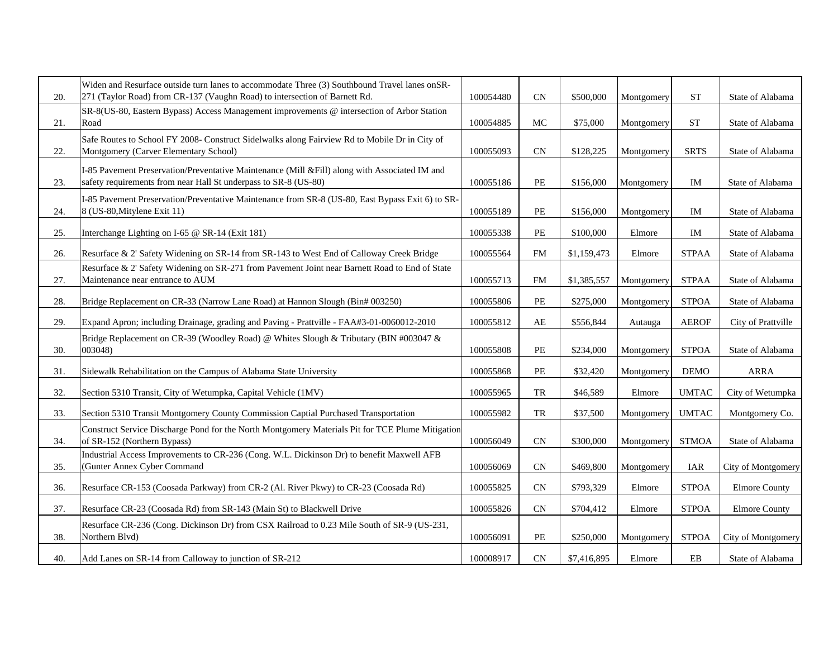|     | Widen and Resurface outside turn lanes to accommodate Three (3) Southbound Travel lanes on SR-                                                                           |           |                                       |             |            |                            |                      |
|-----|--------------------------------------------------------------------------------------------------------------------------------------------------------------------------|-----------|---------------------------------------|-------------|------------|----------------------------|----------------------|
| 20. | 271 (Taylor Road) from CR-137 (Vaughn Road) to intersection of Barnett Rd.<br>SR-8(US-80, Eastern Bypass) Access Management improvements @ intersection of Arbor Station | 100054480 | $\mbox{CN}$                           | \$500,000   | Montgomery | <b>ST</b>                  | State of Alabama     |
| 21. | Road                                                                                                                                                                     | 100054885 | MC                                    | \$75,000    | Montgomery | <b>ST</b>                  | State of Alabama     |
| 22. | Safe Routes to School FY 2008- Construct Sidelwalks along Fairview Rd to Mobile Dr in City of<br>Montgomery (Carver Elementary School)                                   | 100055093 | <b>CN</b>                             | \$128,225   | Montgomery | <b>SRTS</b>                | State of Alabama     |
| 23. | I-85 Pavement Preservation/Preventative Maintenance (Mill &Fill) along with Associated IM and<br>safety requirements from near Hall St underpass to SR-8 (US-80)         | 100055186 | PE                                    | \$156,000   | Montgomery | $\rm IM$                   | State of Alabama     |
| 24. | I-85 Pavement Preservation/Preventative Maintenance from SR-8 (US-80, East Bypass Exit 6) to SR-<br>8 (US-80, Mitylene Exit 11)                                          | 100055189 | $\ensuremath{\mathop{\text{\rm PE}}}$ | \$156,000   | Montgomery | $\mathop{\rm IM}\nolimits$ | State of Alabama     |
| 25. | Interchange Lighting on I-65 @ SR-14 (Exit 181)                                                                                                                          | 100055338 | PE                                    | \$100,000   | Elmore     | $\rm IM$                   | State of Alabama     |
| 26. | Resurface & 2' Safety Widening on SR-14 from SR-143 to West End of Calloway Creek Bridge                                                                                 | 100055564 | <b>FM</b>                             | \$1,159,473 | Elmore     | <b>STPAA</b>               | State of Alabama     |
| 27. | Resurface & 2' Safety Widening on SR-271 from Pavement Joint near Barnett Road to End of State<br>Maintenance near entrance to AUM                                       | 100055713 | FM                                    | \$1,385,557 | Montgomery | <b>STPAA</b>               | State of Alabama     |
| 28. | Bridge Replacement on CR-33 (Narrow Lane Road) at Hannon Slough (Bin# 003250)                                                                                            | 100055806 | PE                                    | \$275,000   | Montgomery | <b>STPOA</b>               | State of Alabama     |
| 29. | Expand Apron; including Drainage, grading and Paving - Prattville - FAA#3-01-0060012-2010                                                                                | 100055812 | AE                                    | \$556,844   | Autauga    | <b>AEROF</b>               | City of Prattville   |
| 30. | Bridge Replacement on CR-39 (Woodley Road) @ Whites Slough & Tributary (BIN #003047 &<br>003048)                                                                         | 100055808 | <b>PE</b>                             | \$234,000   | Montgomery | <b>STPOA</b>               | State of Alabama     |
| 31. | Sidewalk Rehabilitation on the Campus of Alabama State University                                                                                                        | 100055868 | <b>PE</b>                             | \$32,420    | Montgomery | <b>DEMO</b>                | <b>ARRA</b>          |
| 32. | Section 5310 Transit, City of Wetumpka, Capital Vehicle (1MV)                                                                                                            | 100055965 | <b>TR</b>                             | \$46,589    | Elmore     | <b>UMTAC</b>               | City of Wetumpka     |
| 33. | Section 5310 Transit Montgomery County Commission Captial Purchased Transportation                                                                                       | 100055982 | TR                                    | \$37,500    | Montgomery | <b>UMTAC</b>               | Montgomery Co.       |
| 34. | Construct Service Discharge Pond for the North Montgomery Materials Pit for TCE Plume Mitigation<br>of SR-152 (Northern Bypass)                                          | 100056049 | CN                                    | \$300,000   | Montgomery | <b>STMOA</b>               | State of Alabama     |
| 35. | Industrial Access Improvements to CR-236 (Cong. W.L. Dickinson Dr) to benefit Maxwell AFB<br>(Gunter Annex Cyber Command                                                 | 100056069 | CN                                    | \$469,800   | Montgomery | <b>IAR</b>                 | City of Montgomery   |
| 36. | Resurface CR-153 (Coosada Parkway) from CR-2 (Al. River Pkwy) to CR-23 (Coosada Rd)                                                                                      | 100055825 | CN                                    | \$793,329   | Elmore     | <b>STPOA</b>               | <b>Elmore County</b> |
| 37. | Resurface CR-23 (Coosada Rd) from SR-143 (Main St) to Blackwell Drive                                                                                                    | 100055826 | CN                                    | \$704,412   | Elmore     | <b>STPOA</b>               | <b>Elmore County</b> |
| 38. | Resurface CR-236 (Cong. Dickinson Dr) from CSX Railroad to 0.23 Mile South of SR-9 (US-231,<br>Northern Blvd)                                                            | 100056091 | PE                                    | \$250,000   | Montgomery | <b>STPOA</b>               | City of Montgomery   |
| 40. | Add Lanes on SR-14 from Calloway to junction of SR-212                                                                                                                   | 100008917 | CN                                    | \$7,416,895 | Elmore     | $\mathbf{E}\mathbf{B}$     | State of Alabama     |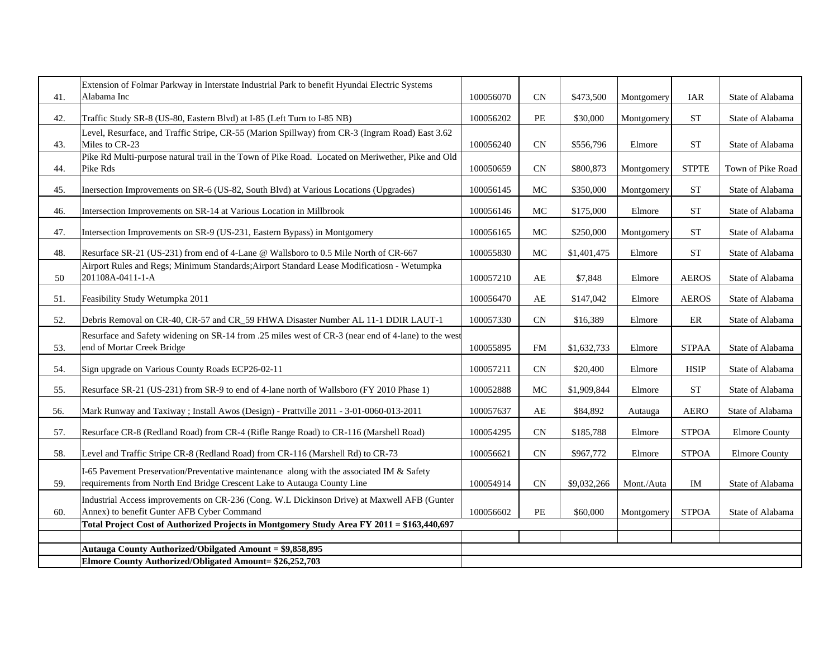| Alabama Inc<br>Traffic Study SR-8 (US-80, Eastern Blvd) at I-85 (Left Turn to I-85 NB)<br>Level, Resurface, and Traffic Stripe, CR-55 (Marion Spillway) from CR-3 (Ingram Road) East 3.62 | 100056070<br>100056202                                                                                                                                                                                                                                                                                                 | CN                     | \$473,500   | Montgomery | IAR          | State of Alabama     |
|-------------------------------------------------------------------------------------------------------------------------------------------------------------------------------------------|------------------------------------------------------------------------------------------------------------------------------------------------------------------------------------------------------------------------------------------------------------------------------------------------------------------------|------------------------|-------------|------------|--------------|----------------------|
|                                                                                                                                                                                           |                                                                                                                                                                                                                                                                                                                        | PE                     | \$30,000    | Montgomery | ${\rm ST}$   | State of Alabama     |
| Miles to CR-23                                                                                                                                                                            | 100056240                                                                                                                                                                                                                                                                                                              | CN                     | \$556,796   | Elmore     | <b>ST</b>    | State of Alabama     |
| Pike Rds                                                                                                                                                                                  | 100050659                                                                                                                                                                                                                                                                                                              | <b>CN</b>              | \$800,873   | Montgomery | <b>STPTE</b> | Town of Pike Road    |
| Inersection Improvements on SR-6 (US-82, South Blvd) at Various Locations (Upgrades)                                                                                                      | 100056145                                                                                                                                                                                                                                                                                                              | $MC$                   | \$350,000   | Montgomery | ${\cal ST}$  | State of Alabama     |
| Intersection Improvements on SR-14 at Various Location in Millbrook                                                                                                                       | 100056146                                                                                                                                                                                                                                                                                                              | <b>MC</b>              | \$175,000   | Elmore     | ${\cal ST}$  | State of Alabama     |
| Intersection Improvements on SR-9 (US-231, Eastern Bypass) in Montgomery                                                                                                                  | 100056165                                                                                                                                                                                                                                                                                                              | MC                     | \$250,000   | Montgomery | ${\rm ST}$   | State of Alabama     |
| Resurface SR-21 (US-231) from end of 4-Lane @ Wallsboro to 0.5 Mile North of CR-667                                                                                                       | 100055830                                                                                                                                                                                                                                                                                                              | MC                     | \$1,401,475 | Elmore     | ${\cal ST}$  | State of Alabama     |
| Airport Rules and Regs; Minimum Standards; Airport Standard Lease Modificatiosn - Wetumpka<br>201108A-0411-1-A                                                                            | 100057210                                                                                                                                                                                                                                                                                                              | AE                     | \$7,848     | Elmore     | <b>AEROS</b> | State of Alabama     |
| Feasibility Study Wetumpka 2011                                                                                                                                                           | 100056470                                                                                                                                                                                                                                                                                                              | $\mathbf{A}\mathbf{E}$ | \$147,042   | Elmore     | <b>AEROS</b> | State of Alabama     |
| Debris Removal on CR-40, CR-57 and CR_59 FHWA Disaster Number AL 11-1 DDIR LAUT-1                                                                                                         | 100057330                                                                                                                                                                                                                                                                                                              | CN                     | \$16,389    | Elmore     | $\rm ER$     | State of Alabama     |
| Resurface and Safety widening on SR-14 from .25 miles west of CR-3 (near end of 4-lane) to the west<br>end of Mortar Creek Bridge                                                         | 100055895                                                                                                                                                                                                                                                                                                              | <b>FM</b>              | \$1,632,733 | Elmore     | <b>STPAA</b> | State of Alabama     |
| Sign upgrade on Various County Roads ECP26-02-11                                                                                                                                          | 100057211                                                                                                                                                                                                                                                                                                              | CN                     | \$20,400    | Elmore     | <b>HSIP</b>  | State of Alabama     |
| Resurface SR-21 (US-231) from SR-9 to end of 4-lane north of Wallsboro (FY 2010 Phase 1)                                                                                                  | 100052888                                                                                                                                                                                                                                                                                                              | $MC$                   | \$1,909,844 | Elmore     | ${\cal ST}$  | State of Alabama     |
| Mark Runway and Taxiway; Install Awos (Design) - Prattville 2011 - 3-01-0060-013-2011                                                                                                     | 100057637                                                                                                                                                                                                                                                                                                              | $\mathbf{A}\mathbf{E}$ | \$84,892    | Autauga    | <b>AERO</b>  | State of Alabama     |
| Resurface CR-8 (Redland Road) from CR-4 (Rifle Range Road) to CR-116 (Marshell Road)                                                                                                      | 100054295                                                                                                                                                                                                                                                                                                              | CN                     | \$185,788   | Elmore     | <b>STPOA</b> | <b>Elmore County</b> |
| Level and Traffic Stripe CR-8 (Redland Road) from CR-116 (Marshell Rd) to CR-73                                                                                                           | 100056621                                                                                                                                                                                                                                                                                                              | CN                     | \$967,772   | Elmore     | <b>STPOA</b> | <b>Elmore County</b> |
| I-65 Pavement Preservation/Preventative maintenance along with the associated IM & Safety<br>requirements from North End Bridge Crescent Lake to Autauga County Line                      | 100054914                                                                                                                                                                                                                                                                                                              | CN                     | \$9,032,266 | Mont./Auta | $\rm IM$     | State of Alabama     |
| Industrial Access improvements on CR-236 (Cong. W.L Dickinson Drive) at Maxwell AFB (Gunter<br>Annex) to benefit Gunter AFB Cyber Command                                                 | 100056602                                                                                                                                                                                                                                                                                                              | PE                     | \$60,000    | Montgomery | <b>STPOA</b> | State of Alabama     |
|                                                                                                                                                                                           |                                                                                                                                                                                                                                                                                                                        |                        |             |            |              |                      |
|                                                                                                                                                                                           |                                                                                                                                                                                                                                                                                                                        |                        |             |            |              |                      |
|                                                                                                                                                                                           |                                                                                                                                                                                                                                                                                                                        |                        |             |            |              |                      |
|                                                                                                                                                                                           | Pike Rd Multi-purpose natural trail in the Town of Pike Road. Located on Meriwether, Pike and Old<br>Total Project Cost of Authorized Projects in Montgomery Study Area FY 2011 = \$163,440,697<br>Autauga County Authorized/Obilgated Amount = \$9,858,895<br>Elmore County Authorized/Obligated Amount= \$26,252,703 |                        |             |            |              |                      |